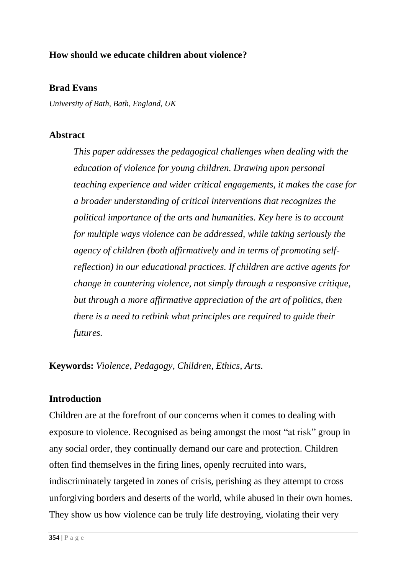## **How should we educate children about violence?**

## **Brad Evans**

*University of Bath, Bath, England, UK*

## **Abstract**

*This paper addresses the pedagogical challenges when dealing with the education of violence for young children. Drawing upon personal teaching experience and wider critical engagements, it makes the case for a broader understanding of critical interventions that recognizes the political importance of the arts and humanities. Key here is to account for multiple ways violence can be addressed, while taking seriously the agency of children (both affirmatively and in terms of promoting selfreflection) in our educational practices. If children are active agents for change in countering violence, not simply through a responsive critique, but through a more affirmative appreciation of the art of politics, then there is a need to rethink what principles are required to guide their futures.* 

**Keywords:** *Violence, Pedagogy, Children, Ethics, Arts.*

## **Introduction**

Children are at the forefront of our concerns when it comes to dealing with exposure to violence. Recognised as being amongst the most "at risk" group in any social order, they continually demand our care and protection. Children often find themselves in the firing lines, openly recruited into wars, indiscriminately targeted in zones of crisis, perishing as they attempt to cross unforgiving borders and deserts of the world, while abused in their own homes. They show us how violence can be truly life destroying, violating their very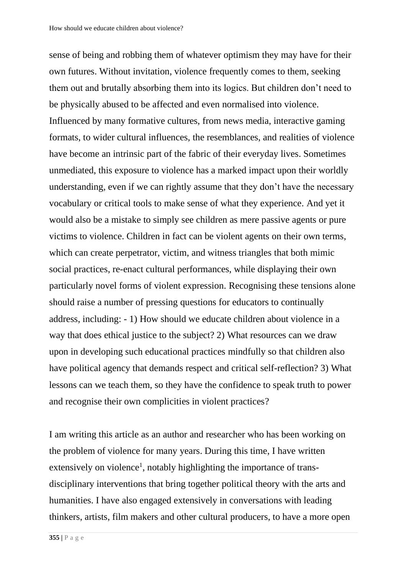sense of being and robbing them of whatever optimism they may have for their own futures. Without invitation, violence frequently comes to them, seeking them out and brutally absorbing them into its logics. But children don't need to be physically abused to be affected and even normalised into violence. Influenced by many formative cultures, from news media, interactive gaming formats, to wider cultural influences, the resemblances, and realities of violence have become an intrinsic part of the fabric of their everyday lives. Sometimes unmediated, this exposure to violence has a marked impact upon their worldly understanding, even if we can rightly assume that they don't have the necessary vocabulary or critical tools to make sense of what they experience. And yet it would also be a mistake to simply see children as mere passive agents or pure victims to violence. Children in fact can be violent agents on their own terms, which can create perpetrator, victim, and witness triangles that both mimic social practices, re-enact cultural performances, while displaying their own particularly novel forms of violent expression. Recognising these tensions alone should raise a number of pressing questions for educators to continually address, including: - 1) How should we educate children about violence in a way that does ethical justice to the subject? 2) What resources can we draw upon in developing such educational practices mindfully so that children also have political agency that demands respect and critical self-reflection? 3) What lessons can we teach them, so they have the confidence to speak truth to power and recognise their own complicities in violent practices?

I am writing this article as an author and researcher who has been working on the problem of violence for many years. During this time, I have written extensively on violence<sup>1</sup>, notably highlighting the importance of transdisciplinary interventions that bring together political theory with the arts and humanities. I have also engaged extensively in conversations with leading thinkers, artists, film makers and other cultural producers, to have a more open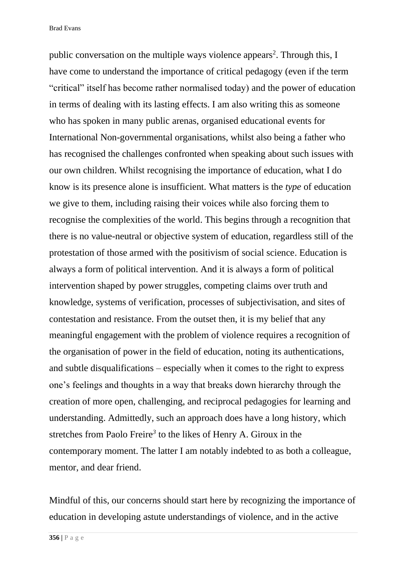public conversation on the multiple ways violence appears<sup>2</sup>. Through this, I have come to understand the importance of critical pedagogy (even if the term "critical" itself has become rather normalised today) and the power of education in terms of dealing with its lasting effects. I am also writing this as someone who has spoken in many public arenas, organised educational events for International Non-governmental organisations, whilst also being a father who has recognised the challenges confronted when speaking about such issues with our own children. Whilst recognising the importance of education, what I do know is its presence alone is insufficient. What matters is the *type* of education we give to them, including raising their voices while also forcing them to recognise the complexities of the world. This begins through a recognition that there is no value-neutral or objective system of education, regardless still of the protestation of those armed with the positivism of social science. Education is always a form of political intervention. And it is always a form of political intervention shaped by power struggles, competing claims over truth and knowledge, systems of verification, processes of subjectivisation, and sites of contestation and resistance. From the outset then, it is my belief that any meaningful engagement with the problem of violence requires a recognition of the organisation of power in the field of education, noting its authentications, and subtle disqualifications – especially when it comes to the right to express one's feelings and thoughts in a way that breaks down hierarchy through the creation of more open, challenging, and reciprocal pedagogies for learning and understanding. Admittedly, such an approach does have a long history, which stretches from Paolo Freire*<sup>3</sup>* to the likes of Henry A. Giroux in the contemporary moment. The latter I am notably indebted to as both a colleague, mentor, and dear friend.

Mindful of this, our concerns should start here by recognizing the importance of education in developing astute understandings of violence, and in the active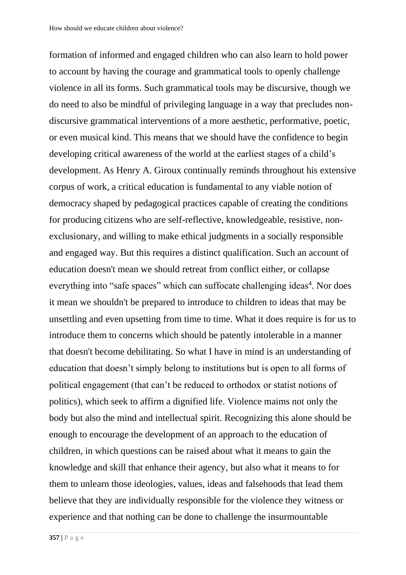formation of informed and engaged children who can also learn to hold power to account by having the courage and grammatical tools to openly challenge violence in all its forms. Such grammatical tools may be discursive, though we do need to also be mindful of privileging language in a way that precludes nondiscursive grammatical interventions of a more aesthetic, performative, poetic, or even musical kind. This means that we should have the confidence to begin developing critical awareness of the world at the earliest stages of a child's development. As Henry A. Giroux continually reminds throughout his extensive corpus of work, a critical education is fundamental to any viable notion of democracy shaped by pedagogical practices capable of creating the conditions for producing citizens who are self-reflective, knowledgeable, resistive, nonexclusionary, and willing to make ethical judgments in a socially responsible and engaged way. But this requires a distinct qualification. Such an account of education doesn't mean we should retreat from conflict either, or collapse everything into "safe spaces" which can suffocate challenging ideas<sup>4</sup>. Nor does it mean we shouldn't be prepared to introduce to children to ideas that may be unsettling and even upsetting from time to time. What it does require is for us to introduce them to concerns which should be patently intolerable in a manner that doesn't become debilitating. So what I have in mind is an understanding of education that doesn't simply belong to institutions but is open to all forms of political engagement (that can't be reduced to orthodox or statist notions of politics), which seek to affirm a dignified life. Violence maims not only the body but also the mind and intellectual spirit. Recognizing this alone should be enough to encourage the development of an approach to the education of children, in which questions can be raised about what it means to gain the knowledge and skill that enhance their agency, but also what it means to for them to unlearn those ideologies, values, ideas and falsehoods that lead them believe that they are individually responsible for the violence they witness or experience and that nothing can be done to challenge the insurmountable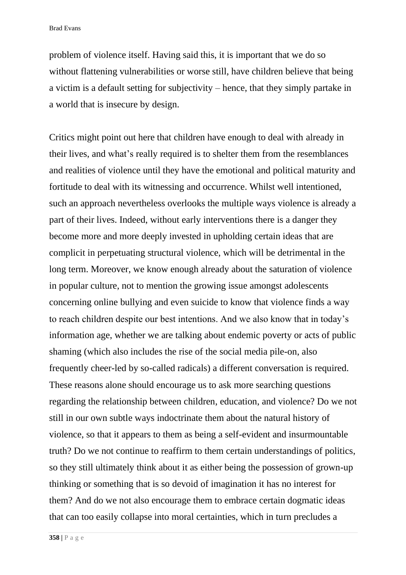problem of violence itself. Having said this, it is important that we do so without flattening vulnerabilities or worse still, have children believe that being a victim is a default setting for subjectivity – hence, that they simply partake in a world that is insecure by design.

Critics might point out here that children have enough to deal with already in their lives, and what's really required is to shelter them from the resemblances and realities of violence until they have the emotional and political maturity and fortitude to deal with its witnessing and occurrence. Whilst well intentioned, such an approach nevertheless overlooks the multiple ways violence is already a part of their lives. Indeed, without early interventions there is a danger they become more and more deeply invested in upholding certain ideas that are complicit in perpetuating structural violence, which will be detrimental in the long term. Moreover, we know enough already about the saturation of violence in popular culture, not to mention the growing issue amongst adolescents concerning online bullying and even suicide to know that violence finds a way to reach children despite our best intentions. And we also know that in today's information age, whether we are talking about endemic poverty or acts of public shaming (which also includes the rise of the social media pile-on, also frequently cheer-led by so-called radicals) a different conversation is required. These reasons alone should encourage us to ask more searching questions regarding the relationship between children, education, and violence? Do we not still in our own subtle ways indoctrinate them about the natural history of violence, so that it appears to them as being a self-evident and insurmountable truth? Do we not continue to reaffirm to them certain understandings of politics, so they still ultimately think about it as either being the possession of grown-up thinking or something that is so devoid of imagination it has no interest for them? And do we not also encourage them to embrace certain dogmatic ideas that can too easily collapse into moral certainties, which in turn precludes a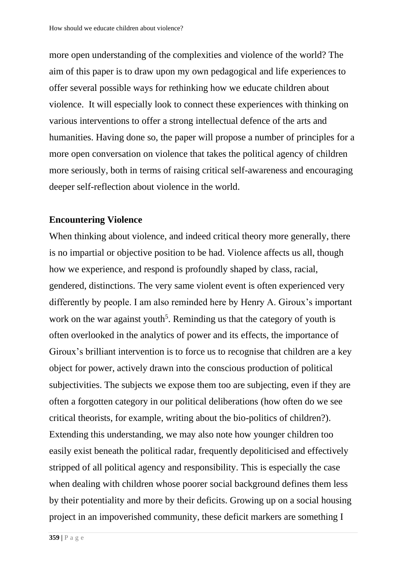more open understanding of the complexities and violence of the world? The aim of this paper is to draw upon my own pedagogical and life experiences to offer several possible ways for rethinking how we educate children about violence. It will especially look to connect these experiences with thinking on various interventions to offer a strong intellectual defence of the arts and humanities. Having done so, the paper will propose a number of principles for a more open conversation on violence that takes the political agency of children more seriously, both in terms of raising critical self-awareness and encouraging deeper self-reflection about violence in the world.

### **Encountering Violence**

When thinking about violence, and indeed critical theory more generally, there is no impartial or objective position to be had. Violence affects us all, though how we experience, and respond is profoundly shaped by class, racial, gendered, distinctions. The very same violent event is often experienced very differently by people. I am also reminded here by Henry A. Giroux's important work on the war against youth<sup>5</sup>. Reminding us that the category of youth is often overlooked in the analytics of power and its effects, the importance of Giroux's brilliant intervention is to force us to recognise that children are a key object for power, actively drawn into the conscious production of political subjectivities. The subjects we expose them too are subjecting, even if they are often a forgotten category in our political deliberations (how often do we see critical theorists, for example, writing about the bio-politics of children?). Extending this understanding, we may also note how younger children too easily exist beneath the political radar, frequently depoliticised and effectively stripped of all political agency and responsibility. This is especially the case when dealing with children whose poorer social background defines them less by their potentiality and more by their deficits. Growing up on a social housing project in an impoverished community, these deficit markers are something I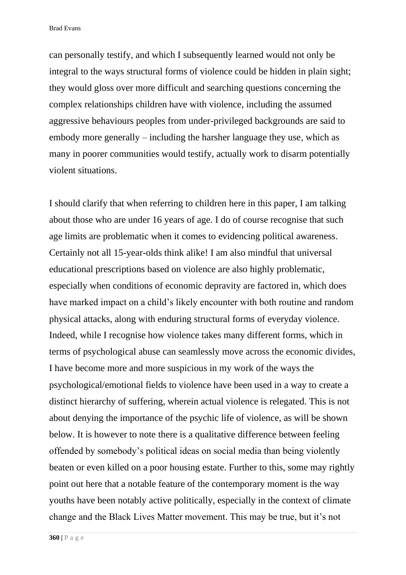can personally testify, and which I subsequently learned would not only be integral to the ways structural forms of violence could be hidden in plain sight; they would gloss over more difficult and searching questions concerning the complex relationships children have with violence, including the assumed aggressive behaviours peoples from under-privileged backgrounds are said to embody more generally – including the harsher language they use, which as many in poorer communities would testify, actually work to disarm potentially violent situations.

I should clarify that when referring to children here in this paper, I am talking about those who are under 16 years of age. I do of course recognise that such age limits are problematic when it comes to evidencing political awareness. Certainly not all 15-year-olds think alike! I am also mindful that universal educational prescriptions based on violence are also highly problematic, especially when conditions of economic depravity are factored in, which does have marked impact on a child's likely encounter with both routine and random physical attacks, along with enduring structural forms of everyday violence. Indeed, while I recognise how violence takes many different forms, which in terms of psychological abuse can seamlessly move across the economic divides, I have become more and more suspicious in my work of the ways the psychological/emotional fields to violence have been used in a way to create a distinct hierarchy of suffering, wherein actual violence is relegated. This is not about denying the importance of the psychic life of violence, as will be shown below. It is however to note there is a qualitative difference between feeling offended by somebody's political ideas on social media than being violently beaten or even killed on a poor housing estate. Further to this, some may rightly point out here that a notable feature of the contemporary moment is the way youths have been notably active politically, especially in the context of climate change and the Black Lives Matter movement. This may be true, but it's not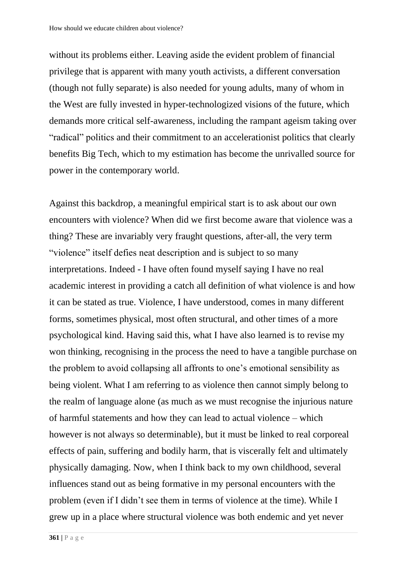without its problems either. Leaving aside the evident problem of financial privilege that is apparent with many youth activists, a different conversation (though not fully separate) is also needed for young adults, many of whom in the West are fully invested in hyper-technologized visions of the future, which demands more critical self-awareness, including the rampant ageism taking over "radical" politics and their commitment to an accelerationist politics that clearly benefits Big Tech, which to my estimation has become the unrivalled source for power in the contemporary world.

Against this backdrop, a meaningful empirical start is to ask about our own encounters with violence? When did we first become aware that violence was a thing? These are invariably very fraught questions, after-all, the very term "violence" itself defies neat description and is subject to so many interpretations. Indeed - I have often found myself saying I have no real academic interest in providing a catch all definition of what violence is and how it can be stated as true. Violence, I have understood, comes in many different forms, sometimes physical, most often structural, and other times of a more psychological kind. Having said this, what I have also learned is to revise my won thinking, recognising in the process the need to have a tangible purchase on the problem to avoid collapsing all affronts to one's emotional sensibility as being violent. What I am referring to as violence then cannot simply belong to the realm of language alone (as much as we must recognise the injurious nature of harmful statements and how they can lead to actual violence – which however is not always so determinable), but it must be linked to real corporeal effects of pain, suffering and bodily harm, that is viscerally felt and ultimately physically damaging. Now, when I think back to my own childhood, several influences stand out as being formative in my personal encounters with the problem (even if I didn't see them in terms of violence at the time). While I grew up in a place where structural violence was both endemic and yet never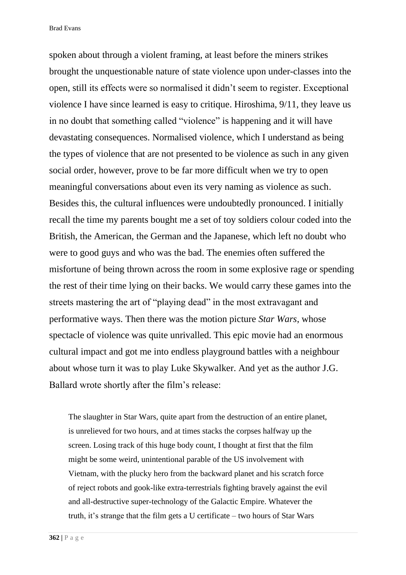spoken about through a violent framing, at least before the miners strikes brought the unquestionable nature of state violence upon under-classes into the open, still its effects were so normalised it didn't seem to register. Exceptional violence I have since learned is easy to critique. Hiroshima, 9/11, they leave us in no doubt that something called "violence" is happening and it will have devastating consequences. Normalised violence, which I understand as being the types of violence that are not presented to be violence as such in any given social order, however, prove to be far more difficult when we try to open meaningful conversations about even its very naming as violence as such. Besides this, the cultural influences were undoubtedly pronounced. I initially recall the time my parents bought me a set of toy soldiers colour coded into the British, the American, the German and the Japanese, which left no doubt who were to good guys and who was the bad. The enemies often suffered the misfortune of being thrown across the room in some explosive rage or spending the rest of their time lying on their backs. We would carry these games into the streets mastering the art of "playing dead" in the most extravagant and performative ways. Then there was the motion picture *Star Wars*, whose spectacle of violence was quite unrivalled. This epic movie had an enormous cultural impact and got me into endless playground battles with a neighbour about whose turn it was to play Luke Skywalker. And yet as the author J.G. Ballard wrote shortly after the film's release:

The slaughter in Star Wars, quite apart from the destruction of an entire planet, is unrelieved for two hours, and at times stacks the corpses halfway up the screen. Losing track of this huge body count, I thought at first that the film might be some weird, unintentional parable of the US involvement with Vietnam, with the plucky hero from the backward planet and his scratch force of reject robots and gook-like extra-terrestrials fighting bravely against the evil and all-destructive super-technology of the Galactic Empire. Whatever the truth, it's strange that the film gets a U certificate – two hours of Star Wars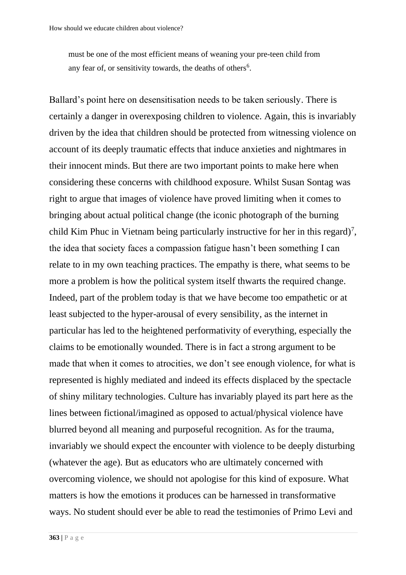must be one of the most efficient means of weaning your pre-teen child from any fear of, or sensitivity towards, the deaths of others<sup>6</sup>.

Ballard's point here on desensitisation needs to be taken seriously. There is certainly a danger in overexposing children to violence. Again, this is invariably driven by the idea that children should be protected from witnessing violence on account of its deeply traumatic effects that induce anxieties and nightmares in their innocent minds. But there are two important points to make here when considering these concerns with childhood exposure. Whilst Susan Sontag was right to argue that images of violence have proved limiting when it comes to bringing about actual political change (the iconic photograph of the burning child Kim Phuc in Vietnam being particularly instructive for her in this regard)<sup>7</sup>, the idea that society faces a compassion fatigue hasn't been something I can relate to in my own teaching practices. The empathy is there, what seems to be more a problem is how the political system itself thwarts the required change. Indeed, part of the problem today is that we have become too empathetic or at least subjected to the hyper-arousal of every sensibility, as the internet in particular has led to the heightened performativity of everything, especially the claims to be emotionally wounded. There is in fact a strong argument to be made that when it comes to atrocities, we don't see enough violence, for what is represented is highly mediated and indeed its effects displaced by the spectacle of shiny military technologies. Culture has invariably played its part here as the lines between fictional/imagined as opposed to actual/physical violence have blurred beyond all meaning and purposeful recognition. As for the trauma, invariably we should expect the encounter with violence to be deeply disturbing (whatever the age). But as educators who are ultimately concerned with overcoming violence, we should not apologise for this kind of exposure. What matters is how the emotions it produces can be harnessed in transformative ways. No student should ever be able to read the testimonies of Primo Levi and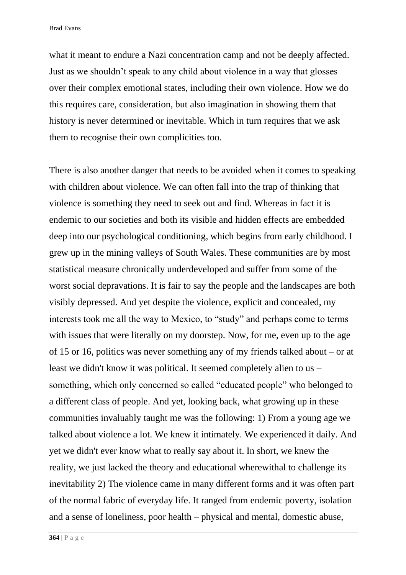what it meant to endure a Nazi concentration camp and not be deeply affected. Just as we shouldn't speak to any child about violence in a way that glosses over their complex emotional states, including their own violence. How we do this requires care, consideration, but also imagination in showing them that history is never determined or inevitable. Which in turn requires that we ask them to recognise their own complicities too.

There is also another danger that needs to be avoided when it comes to speaking with children about violence. We can often fall into the trap of thinking that violence is something they need to seek out and find. Whereas in fact it is endemic to our societies and both its visible and hidden effects are embedded deep into our psychological conditioning, which begins from early childhood. I grew up in the mining valleys of South Wales. These communities are by most statistical measure chronically underdeveloped and suffer from some of the worst social depravations. It is fair to say the people and the landscapes are both visibly depressed. And yet despite the violence, explicit and concealed, my interests took me all the way to Mexico, to "study" and perhaps come to terms with issues that were literally on my doorstep. Now, for me, even up to the age of 15 or 16, politics was never something any of my friends talked about – or at least we didn't know it was political. It seemed completely alien to us – something, which only concerned so called "educated people" who belonged to a different class of people. And yet, looking back, what growing up in these communities invaluably taught me was the following: 1) From a young age we talked about violence a lot. We knew it intimately. We experienced it daily. And yet we didn't ever know what to really say about it. In short, we knew the reality, we just lacked the theory and educational wherewithal to challenge its inevitability 2) The violence came in many different forms and it was often part of the normal fabric of everyday life. It ranged from endemic poverty, isolation and a sense of loneliness, poor health – physical and mental, domestic abuse,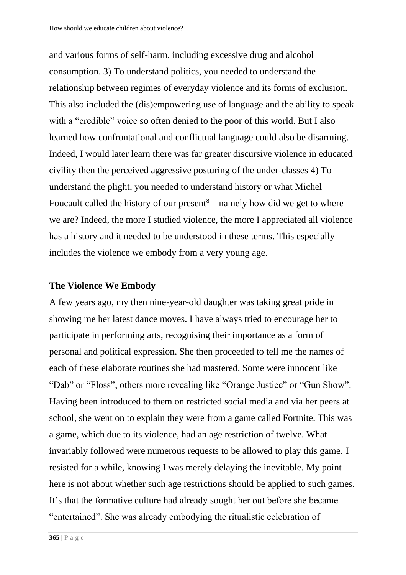and various forms of self-harm, including excessive drug and alcohol consumption. 3) To understand politics, you needed to understand the relationship between regimes of everyday violence and its forms of exclusion. This also included the (dis)empowering use of language and the ability to speak with a "credible" voice so often denied to the poor of this world. But I also learned how confrontational and conflictual language could also be disarming. Indeed, I would later learn there was far greater discursive violence in educated civility then the perceived aggressive posturing of the under-classes 4) To understand the plight, you needed to understand history or what Michel Foucault called the history of our present $8$  – namely how did we get to where we are? Indeed, the more I studied violence, the more I appreciated all violence has a history and it needed to be understood in these terms. This especially includes the violence we embody from a very young age.

#### **The Violence We Embody**

A few years ago, my then nine-year-old daughter was taking great pride in showing me her latest dance moves. I have always tried to encourage her to participate in performing arts, recognising their importance as a form of personal and political expression. She then proceeded to tell me the names of each of these elaborate routines she had mastered. Some were innocent like "Dab" or "Floss", others more revealing like "Orange Justice" or "Gun Show". Having been introduced to them on restricted social media and via her peers at school, she went on to explain they were from a game called Fortnite. This was a game, which due to its violence, had an age restriction of twelve. What invariably followed were numerous requests to be allowed to play this game. I resisted for a while, knowing I was merely delaying the inevitable. My point here is not about whether such age restrictions should be applied to such games. It's that the formative culture had already sought her out before she became "entertained". She was already embodying the ritualistic celebration of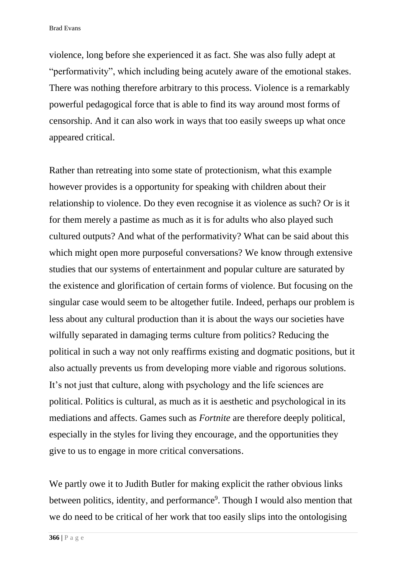violence, long before she experienced it as fact. She was also fully adept at "performativity", which including being acutely aware of the emotional stakes. There was nothing therefore arbitrary to this process. Violence is a remarkably powerful pedagogical force that is able to find its way around most forms of censorship. And it can also work in ways that too easily sweeps up what once appeared critical.

Rather than retreating into some state of protectionism, what this example however provides is a opportunity for speaking with children about their relationship to violence. Do they even recognise it as violence as such? Or is it for them merely a pastime as much as it is for adults who also played such cultured outputs? And what of the performativity? What can be said about this which might open more purposeful conversations? We know through extensive studies that our systems of entertainment and popular culture are saturated by the existence and glorification of certain forms of violence. But focusing on the singular case would seem to be altogether futile. Indeed, perhaps our problem is less about any cultural production than it is about the ways our societies have wilfully separated in damaging terms culture from politics? Reducing the political in such a way not only reaffirms existing and dogmatic positions, but it also actually prevents us from developing more viable and rigorous solutions. It's not just that culture, along with psychology and the life sciences are political. Politics is cultural, as much as it is aesthetic and psychological in its mediations and affects. Games such as *Fortnite* are therefore deeply political, especially in the styles for living they encourage, and the opportunities they give to us to engage in more critical conversations.

We partly owe it to Judith Butler for making explicit the rather obvious links between politics, identity, and performance<sup>9</sup>. Though I would also mention that we do need to be critical of her work that too easily slips into the ontologising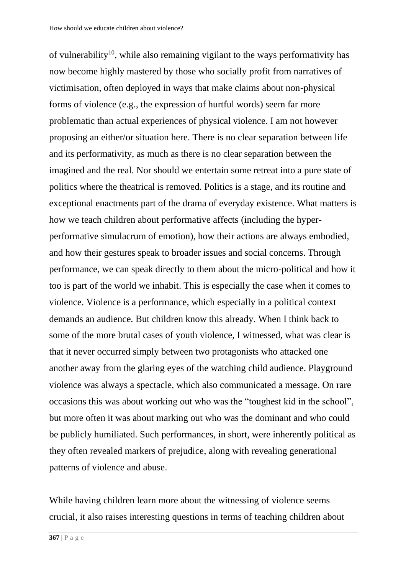of vulnerability<sup>10</sup>, while also remaining vigilant to the ways performativity has now become highly mastered by those who socially profit from narratives of victimisation, often deployed in ways that make claims about non-physical forms of violence (e.g., the expression of hurtful words) seem far more problematic than actual experiences of physical violence. I am not however proposing an either/or situation here. There is no clear separation between life and its performativity, as much as there is no clear separation between the imagined and the real. Nor should we entertain some retreat into a pure state of politics where the theatrical is removed. Politics is a stage, and its routine and exceptional enactments part of the drama of everyday existence. What matters is how we teach children about performative affects (including the hyperperformative simulacrum of emotion), how their actions are always embodied, and how their gestures speak to broader issues and social concerns. Through performance, we can speak directly to them about the micro-political and how it too is part of the world we inhabit. This is especially the case when it comes to violence. Violence is a performance, which especially in a political context demands an audience. But children know this already. When I think back to some of the more brutal cases of youth violence, I witnessed, what was clear is that it never occurred simply between two protagonists who attacked one another away from the glaring eyes of the watching child audience. Playground violence was always a spectacle, which also communicated a message. On rare occasions this was about working out who was the "toughest kid in the school", but more often it was about marking out who was the dominant and who could be publicly humiliated. Such performances, in short, were inherently political as they often revealed markers of prejudice, along with revealing generational patterns of violence and abuse.

While having children learn more about the witnessing of violence seems crucial, it also raises interesting questions in terms of teaching children about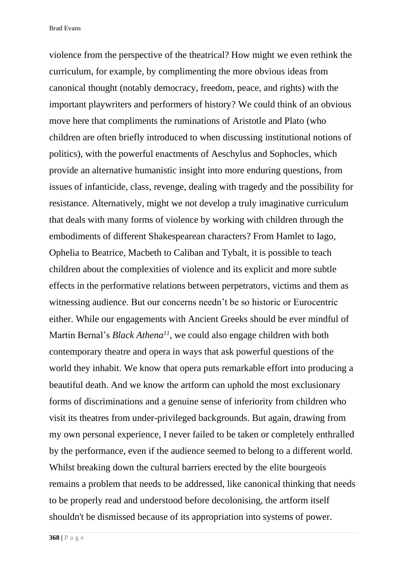violence from the perspective of the theatrical? How might we even rethink the curriculum, for example, by complimenting the more obvious ideas from canonical thought (notably democracy, freedom, peace, and rights) with the important playwriters and performers of history? We could think of an obvious move here that compliments the ruminations of Aristotle and Plato (who children are often briefly introduced to when discussing institutional notions of politics), with the powerful enactments of Aeschylus and Sophocles, which provide an alternative humanistic insight into more enduring questions, from issues of infanticide, class, revenge, dealing with tragedy and the possibility for resistance. Alternatively, might we not develop a truly imaginative curriculum that deals with many forms of violence by working with children through the embodiments of different Shakespearean characters? From Hamlet to Iago, Ophelia to Beatrice, Macbeth to Caliban and Tybalt, it is possible to teach children about the complexities of violence and its explicit and more subtle effects in the performative relations between perpetrators, victims and them as witnessing audience. But our concerns needn't be so historic or Eurocentric either. While our engagements with Ancient Greeks should be ever mindful of Martin Bernal's *Black Athena<sup>11</sup>*, we could also engage children with both contemporary theatre and opera in ways that ask powerful questions of the world they inhabit. We know that opera puts remarkable effort into producing a beautiful death. And we know the artform can uphold the most exclusionary forms of discriminations and a genuine sense of inferiority from children who visit its theatres from under-privileged backgrounds. But again, drawing from my own personal experience, I never failed to be taken or completely enthralled by the performance, even if the audience seemed to belong to a different world. Whilst breaking down the cultural barriers erected by the elite bourgeois remains a problem that needs to be addressed, like canonical thinking that needs to be properly read and understood before decolonising, the artform itself shouldn't be dismissed because of its appropriation into systems of power.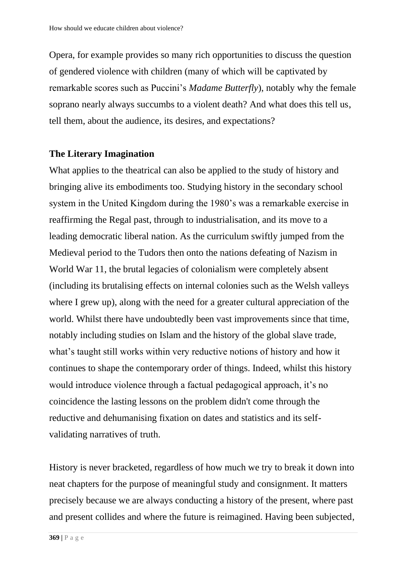Opera, for example provides so many rich opportunities to discuss the question of gendered violence with children (many of which will be captivated by remarkable scores such as Puccini's *Madame Butterfly*), notably why the female soprano nearly always succumbs to a violent death? And what does this tell us, tell them, about the audience, its desires, and expectations?

### **The Literary Imagination**

What applies to the theatrical can also be applied to the study of history and bringing alive its embodiments too. Studying history in the secondary school system in the United Kingdom during the 1980's was a remarkable exercise in reaffirming the Regal past, through to industrialisation, and its move to a leading democratic liberal nation. As the curriculum swiftly jumped from the Medieval period to the Tudors then onto the nations defeating of Nazism in World War 11, the brutal legacies of colonialism were completely absent (including its brutalising effects on internal colonies such as the Welsh valleys where I grew up), along with the need for a greater cultural appreciation of the world. Whilst there have undoubtedly been vast improvements since that time, notably including studies on Islam and the history of the global slave trade, what's taught still works within very reductive notions of history and how it continues to shape the contemporary order of things. Indeed, whilst this history would introduce violence through a factual pedagogical approach, it's no coincidence the lasting lessons on the problem didn't come through the reductive and dehumanising fixation on dates and statistics and its selfvalidating narratives of truth.

History is never bracketed, regardless of how much we try to break it down into neat chapters for the purpose of meaningful study and consignment. It matters precisely because we are always conducting a history of the present, where past and present collides and where the future is reimagined. Having been subjected,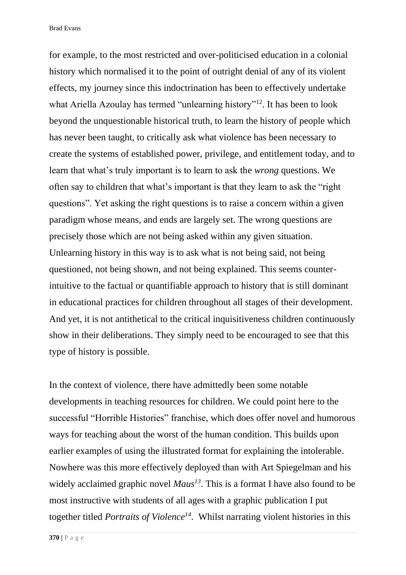for example, to the most restricted and over-politicised education in a colonial history which normalised it to the point of outright denial of any of its violent effects, my journey since this indoctrination has been to effectively undertake what Ariella Azoulay has termed "unlearning history"<sup>12</sup>. It has been to look beyond the unquestionable historical truth, to learn the history of people which has never been taught, to critically ask what violence has been necessary to create the systems of established power, privilege, and entitlement today, and to learn that what's truly important is to learn to ask the *wrong* questions. We often say to children that what's important is that they learn to ask the "right questions". Yet asking the right questions is to raise a concern within a given paradigm whose means, and ends are largely set. The wrong questions are precisely those which are not being asked within any given situation. Unlearning history in this way is to ask what is not being said, not being questioned, not being shown, and not being explained. This seems counterintuitive to the factual or quantifiable approach to history that is still dominant in educational practices for children throughout all stages of their development. And yet, it is not antithetical to the critical inquisitiveness children continuously show in their deliberations. They simply need to be encouraged to see that this type of history is possible.

In the context of violence, there have admittedly been some notable developments in teaching resources for children. We could point here to the successful "Horrible Histories" franchise, which does offer novel and humorous ways for teaching about the worst of the human condition. This builds upon earlier examples of using the illustrated format for explaining the intolerable. Nowhere was this more effectively deployed than with Art Spiegelman and his widely acclaimed graphic novel *Maus<sup>13</sup>*. This is a format I have also found to be most instructive with students of all ages with a graphic publication I put together titled *Portraits of Violence<sup>14</sup>*. Whilst narrating violent histories in this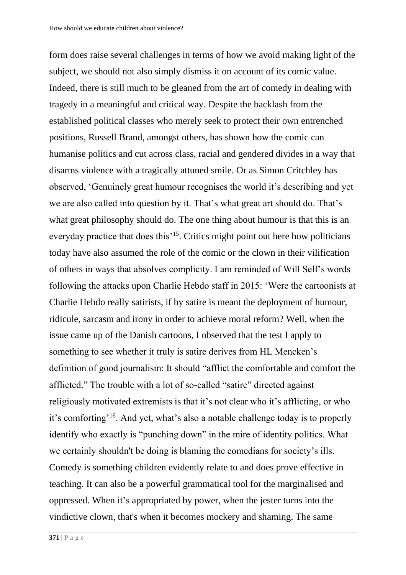form does raise several challenges in terms of how we avoid making light of the subject, we should not also simply dismiss it on account of its comic value. Indeed, there is still much to be gleaned from the art of comedy in dealing with tragedy in a meaningful and critical way. Despite the backlash from the established political classes who merely seek to protect their own entrenched positions, Russell Brand, amongst others, has shown how the comic can humanise politics and cut across class, racial and gendered divides in a way that disarms violence with a tragically attuned smile. Or as Simon Critchley has observed, 'Genuinely great humour recognises the world it's describing and yet we are also called into question by it. That's what great art should do. That's what great philosophy should do. The one thing about humour is that this is an everyday practice that does this<sup>'15</sup>. Critics might point out here how politicians today have also assumed the role of the comic or the clown in their vilification of others in ways that absolves complicity. I am reminded of Will Self's words following the attacks upon Charlie Hebdo staff in 2015: 'Were the cartoonists at Charlie Hebdo really satirists, if by satire is meant the deployment of humour, ridicule, sarcasm and irony in order to achieve moral reform? Well, when the issue came up of the Danish cartoons, I observed that the test I apply to something to see whether it truly is satire derives from HL Mencken's definition of good journalism: It should "afflict the comfortable and comfort the afflicted." The trouble with a lot of so-called "satire" directed against religiously motivated extremists is that it's not clear who it's afflicting, or who it's comforting'<sup>16</sup> . And yet, what's also a notable challenge today is to properly identify who exactly is "punching down" in the mire of identity politics. What we certainly shouldn't be doing is blaming the comedians for society's ills. Comedy is something children evidently relate to and does prove effective in teaching. It can also be a powerful grammatical tool for the marginalised and oppressed. When it's appropriated by power, when the jester turns into the vindictive clown, that's when it becomes mockery and shaming. The same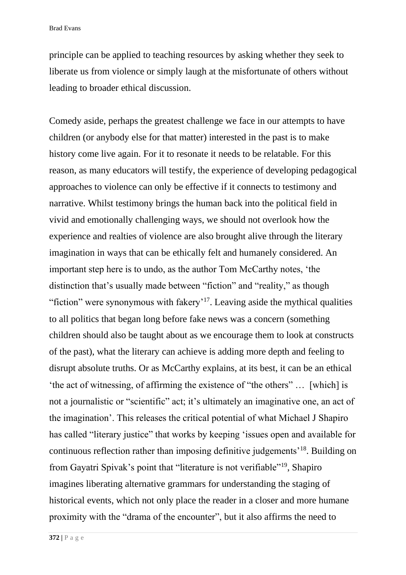principle can be applied to teaching resources by asking whether they seek to liberate us from violence or simply laugh at the misfortunate of others without leading to broader ethical discussion.

Comedy aside, perhaps the greatest challenge we face in our attempts to have children (or anybody else for that matter) interested in the past is to make history come live again. For it to resonate it needs to be relatable. For this reason, as many educators will testify, the experience of developing pedagogical approaches to violence can only be effective if it connects to testimony and narrative. Whilst testimony brings the human back into the political field in vivid and emotionally challenging ways, we should not overlook how the experience and realties of violence are also brought alive through the literary imagination in ways that can be ethically felt and humanely considered. An important step here is to undo, as the author Tom McCarthy notes, 'the distinction that's usually made between "fiction" and "reality," as though "fiction" were synonymous with fakery'<sup>17</sup>. Leaving aside the mythical qualities to all politics that began long before fake news was a concern (something children should also be taught about as we encourage them to look at constructs of the past), what the literary can achieve is adding more depth and feeling to disrupt absolute truths. Or as McCarthy explains, at its best, it can be an ethical 'the act of witnessing, of affirming the existence of "the others" … [which] is not a journalistic or "scientific" act; it's ultimately an imaginative one, an act of the imagination'. This releases the critical potential of what Michael J Shapiro has called "literary justice" that works by keeping 'issues open and available for continuous reflection rather than imposing definitive judgements'<sup>18</sup>. Building on from Gayatri Spivak's point that "literature is not verifiable"<sup>19</sup>, Shapiro imagines liberating alternative grammars for understanding the staging of historical events, which not only place the reader in a closer and more humane proximity with the "drama of the encounter", but it also affirms the need to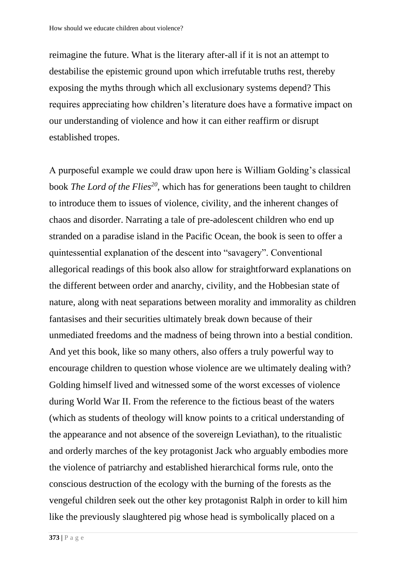reimagine the future. What is the literary after-all if it is not an attempt to destabilise the epistemic ground upon which irrefutable truths rest, thereby exposing the myths through which all exclusionary systems depend? This requires appreciating how children's literature does have a formative impact on our understanding of violence and how it can either reaffirm or disrupt established tropes.

A purposeful example we could draw upon here is William Golding's classical book *The Lord of the Flies<sup>20</sup>*, which has for generations been taught to children to introduce them to issues of violence, civility, and the inherent changes of chaos and disorder. Narrating a tale of pre-adolescent children who end up stranded on a paradise island in the Pacific Ocean, the book is seen to offer a quintessential explanation of the descent into "savagery". Conventional allegorical readings of this book also allow for straightforward explanations on the different between order and anarchy, civility, and the Hobbesian state of nature, along with neat separations between morality and immorality as children fantasises and their securities ultimately break down because of their unmediated freedoms and the madness of being thrown into a bestial condition. And yet this book, like so many others, also offers a truly powerful way to encourage children to question whose violence are we ultimately dealing with? Golding himself lived and witnessed some of the worst excesses of violence during World War II. From the reference to the fictious beast of the waters (which as students of theology will know points to a critical understanding of the appearance and not absence of the sovereign Leviathan), to the ritualistic and orderly marches of the key protagonist Jack who arguably embodies more the violence of patriarchy and established hierarchical forms rule, onto the conscious destruction of the ecology with the burning of the forests as the vengeful children seek out the other key protagonist Ralph in order to kill him like the previously slaughtered pig whose head is symbolically placed on a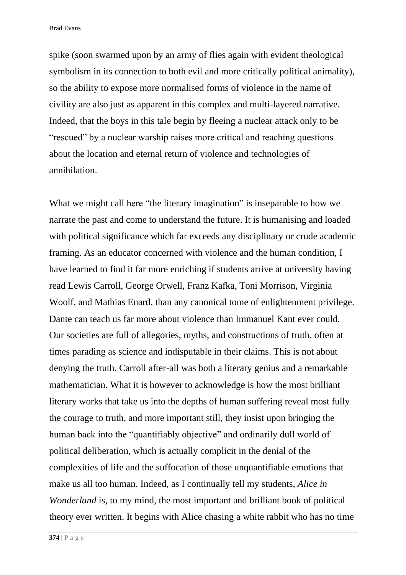spike (soon swarmed upon by an army of flies again with evident theological symbolism in its connection to both evil and more critically political animality), so the ability to expose more normalised forms of violence in the name of civility are also just as apparent in this complex and multi-layered narrative. Indeed, that the boys in this tale begin by fleeing a nuclear attack only to be "rescued" by a nuclear warship raises more critical and reaching questions about the location and eternal return of violence and technologies of annihilation.

What we might call here "the literary imagination" is inseparable to how we narrate the past and come to understand the future. It is humanising and loaded with political significance which far exceeds any disciplinary or crude academic framing. As an educator concerned with violence and the human condition, I have learned to find it far more enriching if students arrive at university having read Lewis Carroll, George Orwell, Franz Kafka, Toni Morrison, Virginia Woolf, and Mathias Enard, than any canonical tome of enlightenment privilege. Dante can teach us far more about violence than Immanuel Kant ever could. Our societies are full of allegories, myths, and constructions of truth, often at times parading as science and indisputable in their claims. This is not about denying the truth. Carroll after-all was both a literary genius and a remarkable mathematician. What it is however to acknowledge is how the most brilliant literary works that take us into the depths of human suffering reveal most fully the courage to truth, and more important still, they insist upon bringing the human back into the "quantifiably objective" and ordinarily dull world of political deliberation, which is actually complicit in the denial of the complexities of life and the suffocation of those unquantifiable emotions that make us all too human. Indeed, as I continually tell my students, *Alice in Wonderland* is, to my mind, the most important and brilliant book of political theory ever written. It begins with Alice chasing a white rabbit who has no time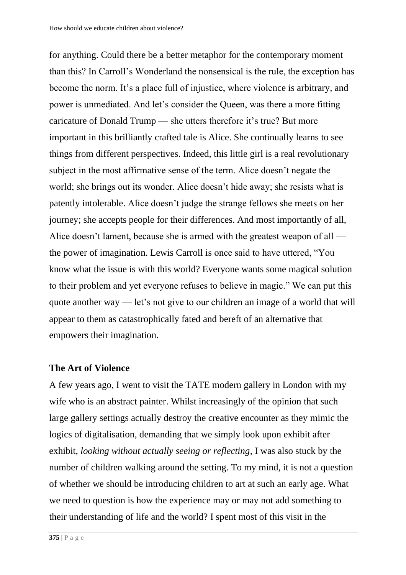for anything. Could there be a better metaphor for the contemporary moment than this? In Carroll's Wonderland the nonsensical is the rule, the exception has become the norm. It's a place full of injustice, where violence is arbitrary, and power is unmediated. And let's consider the Queen, was there a more fitting caricature of Donald Trump — she utters therefore it's true? But more important in this brilliantly crafted tale is Alice. She continually learns to see things from different perspectives. Indeed, this little girl is a real revolutionary subject in the most affirmative sense of the term. Alice doesn't negate the world; she brings out its wonder. Alice doesn't hide away; she resists what is patently intolerable. Alice doesn't judge the strange fellows she meets on her journey; she accepts people for their differences. And most importantly of all, Alice doesn't lament, because she is armed with the greatest weapon of all the power of imagination. Lewis Carroll is once said to have uttered, "You know what the issue is with this world? Everyone wants some magical solution to their problem and yet everyone refuses to believe in magic." We can put this quote another way — let's not give to our children an image of a world that will appear to them as catastrophically fated and bereft of an alternative that empowers their imagination.

### **The Art of Violence**

A few years ago, I went to visit the TATE modern gallery in London with my wife who is an abstract painter. Whilst increasingly of the opinion that such large gallery settings actually destroy the creative encounter as they mimic the logics of digitalisation, demanding that we simply look upon exhibit after exhibit, *looking without actually seeing or reflecting*, I was also stuck by the number of children walking around the setting. To my mind, it is not a question of whether we should be introducing children to art at such an early age. What we need to question is how the experience may or may not add something to their understanding of life and the world? I spent most of this visit in the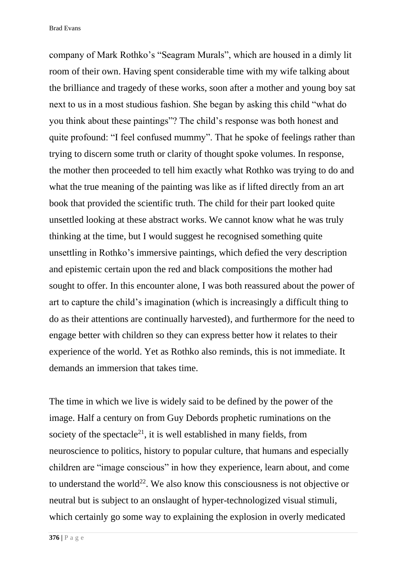company of Mark Rothko's "Seagram Murals", which are housed in a dimly lit room of their own. Having spent considerable time with my wife talking about the brilliance and tragedy of these works, soon after a mother and young boy sat next to us in a most studious fashion. She began by asking this child "what do you think about these paintings"? The child's response was both honest and quite profound: "I feel confused mummy". That he spoke of feelings rather than trying to discern some truth or clarity of thought spoke volumes. In response, the mother then proceeded to tell him exactly what Rothko was trying to do and what the true meaning of the painting was like as if lifted directly from an art book that provided the scientific truth. The child for their part looked quite unsettled looking at these abstract works. We cannot know what he was truly thinking at the time, but I would suggest he recognised something quite unsettling in Rothko's immersive paintings, which defied the very description and epistemic certain upon the red and black compositions the mother had sought to offer. In this encounter alone, I was both reassured about the power of art to capture the child's imagination (which is increasingly a difficult thing to do as their attentions are continually harvested), and furthermore for the need to engage better with children so they can express better how it relates to their experience of the world. Yet as Rothko also reminds, this is not immediate. It demands an immersion that takes time.

The time in which we live is widely said to be defined by the power of the image. Half a century on from Guy Debords prophetic ruminations on the society of the spectacle<sup>21</sup>, it is well established in many fields, from neuroscience to politics, history to popular culture, that humans and especially children are "image conscious" in how they experience, learn about, and come to understand the world<sup>22</sup>. We also know this consciousness is not objective or neutral but is subject to an onslaught of hyper-technologized visual stimuli, which certainly go some way to explaining the explosion in overly medicated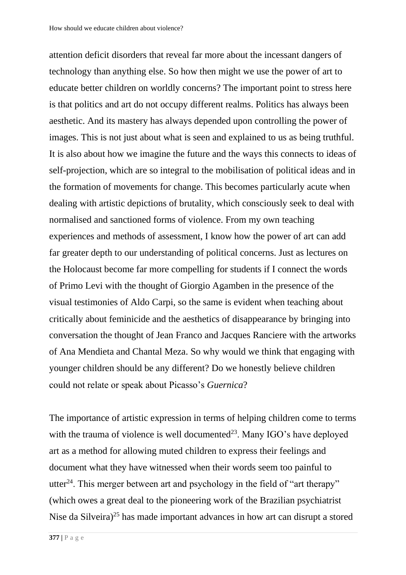attention deficit disorders that reveal far more about the incessant dangers of technology than anything else. So how then might we use the power of art to educate better children on worldly concerns? The important point to stress here is that politics and art do not occupy different realms. Politics has always been aesthetic. And its mastery has always depended upon controlling the power of images. This is not just about what is seen and explained to us as being truthful. It is also about how we imagine the future and the ways this connects to ideas of self-projection, which are so integral to the mobilisation of political ideas and in the formation of movements for change. This becomes particularly acute when dealing with artistic depictions of brutality, which consciously seek to deal with normalised and sanctioned forms of violence. From my own teaching experiences and methods of assessment, I know how the power of art can add far greater depth to our understanding of political concerns. Just as lectures on the Holocaust become far more compelling for students if I connect the words of Primo Levi with the thought of Giorgio Agamben in the presence of the visual testimonies of Aldo Carpi, so the same is evident when teaching about critically about feminicide and the aesthetics of disappearance by bringing into conversation the thought of Jean Franco and Jacques Ranciere with the artworks of Ana Mendieta and Chantal Meza. So why would we think that engaging with younger children should be any different? Do we honestly believe children could not relate or speak about Picasso's *Guernica*?

The importance of artistic expression in terms of helping children come to terms with the trauma of violence is well documented<sup>23</sup>. Many IGO's have deployed art as a method for allowing muted children to express their feelings and document what they have witnessed when their words seem too painful to utter<sup>24</sup>. This merger between art and psychology in the field of "art therapy" (which owes a great deal to the pioneering work of the Brazilian psychiatrist Nise da Silveira)<sup>25</sup> has made important advances in how art can disrupt a stored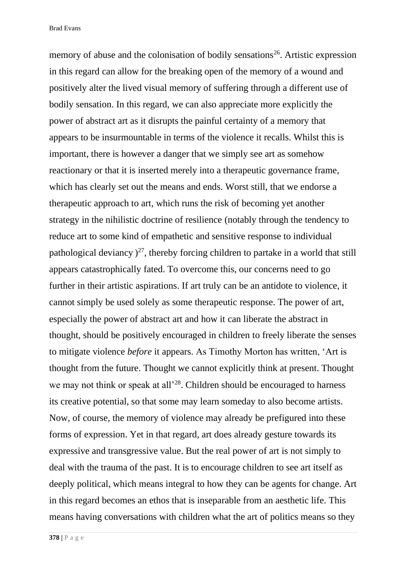memory of abuse and the colonisation of bodily sensations<sup>26</sup>. Artistic expression in this regard can allow for the breaking open of the memory of a wound and positively alter the lived visual memory of suffering through a different use of bodily sensation. In this regard, we can also appreciate more explicitly the power of abstract art as it disrupts the painful certainty of a memory that appears to be insurmountable in terms of the violence it recalls. Whilst this is important, there is however a danger that we simply see art as somehow reactionary or that it is inserted merely into a therapeutic governance frame, which has clearly set out the means and ends. Worst still, that we endorse a therapeutic approach to art, which runs the risk of becoming yet another strategy in the nihilistic doctrine of resilience (notably through the tendency to reduce art to some kind of empathetic and sensitive response to individual pathological deviancy  $)^{27}$ , thereby forcing children to partake in a world that still appears catastrophically fated. To overcome this, our concerns need to go further in their artistic aspirations. If art truly can be an antidote to violence, it cannot simply be used solely as some therapeutic response. The power of art, especially the power of abstract art and how it can liberate the abstract in thought, should be positively encouraged in children to freely liberate the senses to mitigate violence *before* it appears. As Timothy Morton has written, 'Art is thought from the future. Thought we cannot explicitly think at present. Thought we may not think or speak at all<sup>228</sup>. Children should be encouraged to harness its creative potential, so that some may learn someday to also become artists. Now, of course, the memory of violence may already be prefigured into these forms of expression. Yet in that regard, art does already gesture towards its expressive and transgressive value. But the real power of art is not simply to deal with the trauma of the past. It is to encourage children to see art itself as deeply political, which means integral to how they can be agents for change. Art in this regard becomes an ethos that is inseparable from an aesthetic life. This means having conversations with children what the art of politics means so they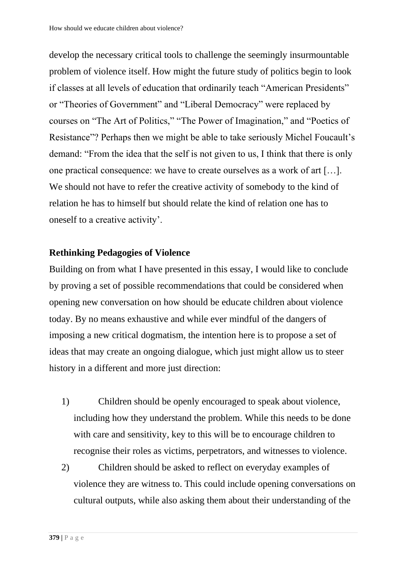develop the necessary critical tools to challenge the seemingly insurmountable problem of violence itself. How might the future study of politics begin to look if classes at all levels of education that ordinarily teach "American Presidents" or "Theories of Government" and "Liberal Democracy" were replaced by courses on "The Art of Politics," "The Power of Imagination," and "Poetics of Resistance"? Perhaps then we might be able to take seriously Michel Foucault's demand: "From the idea that the self is not given to us, I think that there is only one practical consequence: we have to create ourselves as a work of art […]. We should not have to refer the creative activity of somebody to the kind of relation he has to himself but should relate the kind of relation one has to oneself to a creative activity'.

### **Rethinking Pedagogies of Violence**

Building on from what I have presented in this essay, I would like to conclude by proving a set of possible recommendations that could be considered when opening new conversation on how should be educate children about violence today. By no means exhaustive and while ever mindful of the dangers of imposing a new critical dogmatism, the intention here is to propose a set of ideas that may create an ongoing dialogue, which just might allow us to steer history in a different and more just direction:

- 1) Children should be openly encouraged to speak about violence, including how they understand the problem. While this needs to be done with care and sensitivity, key to this will be to encourage children to recognise their roles as victims, perpetrators, and witnesses to violence.
- 2) Children should be asked to reflect on everyday examples of violence they are witness to. This could include opening conversations on cultural outputs, while also asking them about their understanding of the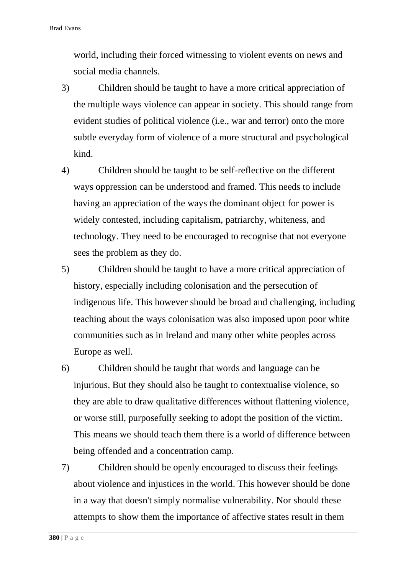world, including their forced witnessing to violent events on news and social media channels.

- 3) Children should be taught to have a more critical appreciation of the multiple ways violence can appear in society. This should range from evident studies of political violence (i.e., war and terror) onto the more subtle everyday form of violence of a more structural and psychological kind.
- 4) Children should be taught to be self-reflective on the different ways oppression can be understood and framed. This needs to include having an appreciation of the ways the dominant object for power is widely contested, including capitalism, patriarchy, whiteness, and technology. They need to be encouraged to recognise that not everyone sees the problem as they do.
- 5) Children should be taught to have a more critical appreciation of history, especially including colonisation and the persecution of indigenous life. This however should be broad and challenging, including teaching about the ways colonisation was also imposed upon poor white communities such as in Ireland and many other white peoples across Europe as well.
- 6) Children should be taught that words and language can be injurious. But they should also be taught to contextualise violence, so they are able to draw qualitative differences without flattening violence, or worse still, purposefully seeking to adopt the position of the victim. This means we should teach them there is a world of difference between being offended and a concentration camp.
- 7) Children should be openly encouraged to discuss their feelings about violence and injustices in the world. This however should be done in a way that doesn't simply normalise vulnerability. Nor should these attempts to show them the importance of affective states result in them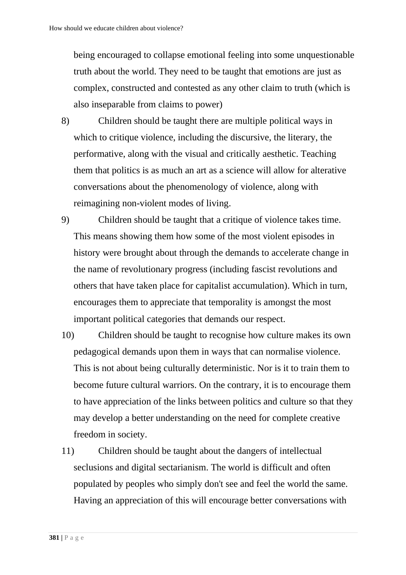being encouraged to collapse emotional feeling into some unquestionable truth about the world. They need to be taught that emotions are just as complex, constructed and contested as any other claim to truth (which is also inseparable from claims to power)

- 8) Children should be taught there are multiple political ways in which to critique violence, including the discursive, the literary, the performative, along with the visual and critically aesthetic. Teaching them that politics is as much an art as a science will allow for alterative conversations about the phenomenology of violence, along with reimagining non-violent modes of living.
- 9) Children should be taught that a critique of violence takes time. This means showing them how some of the most violent episodes in history were brought about through the demands to accelerate change in the name of revolutionary progress (including fascist revolutions and others that have taken place for capitalist accumulation). Which in turn, encourages them to appreciate that temporality is amongst the most important political categories that demands our respect.
- 10) Children should be taught to recognise how culture makes its own pedagogical demands upon them in ways that can normalise violence. This is not about being culturally deterministic. Nor is it to train them to become future cultural warriors. On the contrary, it is to encourage them to have appreciation of the links between politics and culture so that they may develop a better understanding on the need for complete creative freedom in society.
- 11) Children should be taught about the dangers of intellectual seclusions and digital sectarianism. The world is difficult and often populated by peoples who simply don't see and feel the world the same. Having an appreciation of this will encourage better conversations with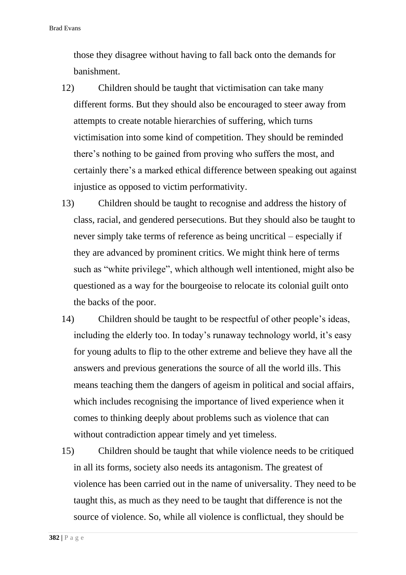those they disagree without having to fall back onto the demands for banishment.

- 12) Children should be taught that victimisation can take many different forms. But they should also be encouraged to steer away from attempts to create notable hierarchies of suffering, which turns victimisation into some kind of competition. They should be reminded there's nothing to be gained from proving who suffers the most, and certainly there's a marked ethical difference between speaking out against injustice as opposed to victim performativity.
- 13) Children should be taught to recognise and address the history of class, racial, and gendered persecutions. But they should also be taught to never simply take terms of reference as being uncritical – especially if they are advanced by prominent critics. We might think here of terms such as "white privilege", which although well intentioned, might also be questioned as a way for the bourgeoise to relocate its colonial guilt onto the backs of the poor.
- 14) Children should be taught to be respectful of other people's ideas, including the elderly too. In today's runaway technology world, it's easy for young adults to flip to the other extreme and believe they have all the answers and previous generations the source of all the world ills. This means teaching them the dangers of ageism in political and social affairs, which includes recognising the importance of lived experience when it comes to thinking deeply about problems such as violence that can without contradiction appear timely and yet timeless.
- 15) Children should be taught that while violence needs to be critiqued in all its forms, society also needs its antagonism. The greatest of violence has been carried out in the name of universality. They need to be taught this, as much as they need to be taught that difference is not the source of violence. So, while all violence is conflictual, they should be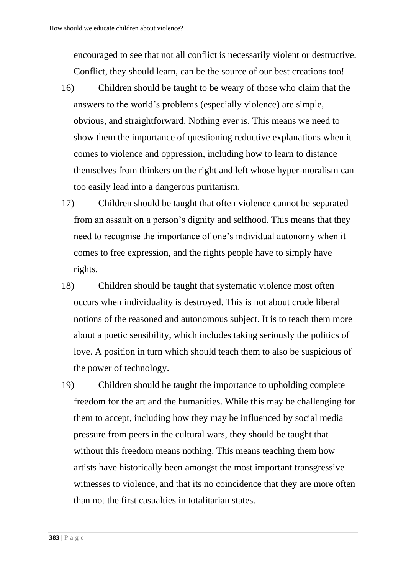encouraged to see that not all conflict is necessarily violent or destructive. Conflict, they should learn, can be the source of our best creations too!

- 16) Children should be taught to be weary of those who claim that the answers to the world's problems (especially violence) are simple, obvious, and straightforward. Nothing ever is. This means we need to show them the importance of questioning reductive explanations when it comes to violence and oppression, including how to learn to distance themselves from thinkers on the right and left whose hyper-moralism can too easily lead into a dangerous puritanism.
- 17) Children should be taught that often violence cannot be separated from an assault on a person's dignity and selfhood. This means that they need to recognise the importance of one's individual autonomy when it comes to free expression, and the rights people have to simply have rights.
- 18) Children should be taught that systematic violence most often occurs when individuality is destroyed. This is not about crude liberal notions of the reasoned and autonomous subject. It is to teach them more about a poetic sensibility, which includes taking seriously the politics of love. A position in turn which should teach them to also be suspicious of the power of technology.
- 19) Children should be taught the importance to upholding complete freedom for the art and the humanities. While this may be challenging for them to accept, including how they may be influenced by social media pressure from peers in the cultural wars, they should be taught that without this freedom means nothing. This means teaching them how artists have historically been amongst the most important transgressive witnesses to violence, and that its no coincidence that they are more often than not the first casualties in totalitarian states.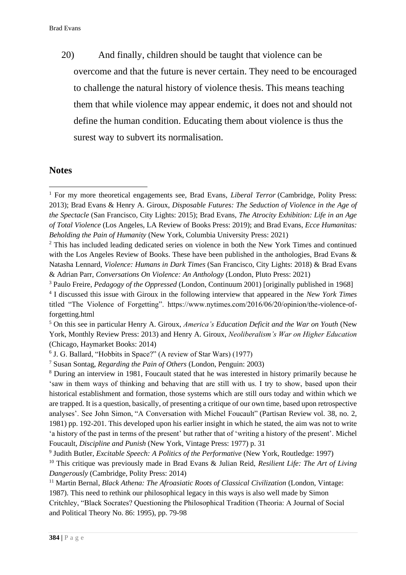20) And finally, children should be taught that violence can be overcome and that the future is never certain. They need to be encouraged to challenge the natural history of violence thesis. This means teaching them that while violence may appear endemic, it does not and should not define the human condition. Educating them about violence is thus the surest way to subvert its normalisation.

### **Notes**

<sup>1</sup> For my more theoretical engagements see, Brad Evans, *Liberal Terror* (Cambridge, Polity Press: 2013); Brad Evans & Henry A. Giroux, *Disposable Futures: The Seduction of Violence in the Age of the Spectacle* (San Francisco, City Lights: 2015); Brad Evans, *The Atrocity Exhibition: Life in an Age of Total Violence* (Los Angeles, LA Review of Books Press: 2019); and Brad Evans, *Ecce Humanitas: Beholding the Pain of Humanity* (New York, Columbia University Press: 2021)

<sup>&</sup>lt;sup>2</sup> This has included leading dedicated series on violence in both the New York Times and continued with the Los Angeles Review of Books. These have been published in the anthologies, Brad Evans & Natasha Lennard, *Violence: Humans in Dark Times* (San Francisco, City Lights: 2018) & Brad Evans & Adrian Parr, *Conversations On Violence: An Anthology* (London, Pluto Press: 2021)

<sup>3</sup> Paulo Freire, *Pedagogy of the Oppressed* (London, Continuum 2001) [originally published in 1968] 4 I discussed this issue with Giroux in the following interview that appeared in the *New York Times* titled "The Violence of Forgetting". https://www.nytimes.com/2016/06/20/opinion/the-violence-offorgetting.html

<sup>5</sup> On this see in particular Henry A. Giroux, *America's Education Deficit and the War on Youth* (New York, Monthly Review Press: 2013) and Henry A. Giroux, *Neoliberalism's War on Higher Education* (Chicago, Haymarket Books: 2014)

<sup>6</sup> J. G. Ballard, "Hobbits in Space?" (A review of Star Wars) (1977)

<sup>7</sup> Susan Sontag, *Regarding the Pain of Others* (London, Penguin: 2003)

<sup>8</sup> During an interview in 1981, Foucault stated that he was interested in history primarily because he 'saw in them ways of thinking and behaving that are still with us. I try to show, based upon their historical establishment and formation, those systems which are still ours today and within which we are trapped. It is a question, basically, of presenting a critique of our own time, based upon retrospective analyses'. See John Simon, "A Conversation with Michel Foucault" (Partisan Review vol. 38, no. 2, 1981) pp. 192-201. This developed upon his earlier insight in which he stated, the aim was not to write 'a history of the past in terms of the present' but rather that of 'writing a history of the present'. Michel Foucault, *Discipline and Punish* (New York, Vintage Press: 1977) p. 31

<sup>9</sup> Judith Butler, *Excitable Speech: A Politics of the Performative* (New York, Routledge: 1997)

<sup>10</sup> This critique was previously made in Brad Evans & Julian Reid, *Resilient Life: The Art of Living Dangerously* (Cambridge, Polity Press: 2014)

<sup>&</sup>lt;sup>11</sup> Martin Bernal, *Black Athena: The Afroasiatic Roots of Classical Civilization* (London, Vintage: 1987). This need to rethink our philosophical legacy in this ways is also well made by Simon Critchley, "Black Socrates? Questioning the Philosophical Tradition (Theoria: A Journal of Social and Political Theory No. 86: 1995), pp. 79-98